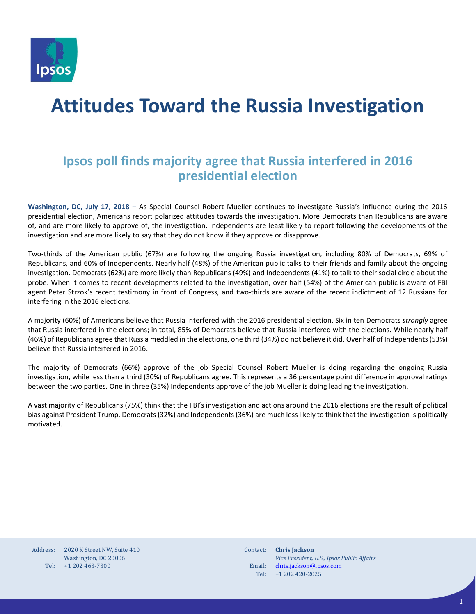

# **Attitudes Toward the Russia Investigation**

### **Ipsos poll finds majority agree that Russia interfered in 2016 presidential election**

**Washington, DC, July 17, 2018 –** As Special Counsel Robert Mueller continues to investigate Russia's influence during the 2016 presidential election, Americans report polarized attitudes towards the investigation. More Democrats than Republicans are aware of, and are more likely to approve of, the investigation. Independents are least likely to report following the developments of the investigation and are more likely to say that they do not know if they approve or disapprove.

Two-thirds of the American public (67%) are following the ongoing Russia investigation, including 80% of Democrats, 69% of Republicans, and 60% of Independents. Nearly half (48%) of the American public talks to their friends and family about the ongoing investigation. Democrats (62%) are more likely than Republicans (49%) and Independents (41%) to talk to their social circle about the probe. When it comes to recent developments related to the investigation, over half (54%) of the American public is aware of FBI agent Peter Strzok's recent testimony in front of Congress, and two-thirds are aware of the recent indictment of 12 Russians for interfering in the 2016 elections.

A majority (60%) of Americans believe that Russia interfered with the 2016 presidential election. Six in ten Democrats *strongly* agree that Russia interfered in the elections; in total, 85% of Democrats believe that Russia interfered with the elections. While nearly half (46%) of Republicans agree that Russia meddled in the elections, one third (34%) do not believe it did. Over half of Independents (53%) believe that Russia interfered in 2016.

The majority of Democrats (66%) approve of the job Special Counsel Robert Mueller is doing regarding the ongoing Russia investigation, while less than a third (30%) of Republicans agree. This represents a 36 percentage point difference in approval ratings between the two parties. One in three (35%) Independents approve of the job Mueller is doing leading the investigation.

A vast majority of Republicans (75%) think that the FBI's investigation and actions around the 2016 elections are the result of political bias against President Trump. Democrats (32%) and Independents (36%) are much less likely to think that the investigation is politically motivated.

Address: Tel: +1 202 463-7300 2020 K Street NW, Suite 410 Washington, DC 20006

Contact: Email: Tel: **Chris Jackson** *Vice President, U.S., Ipsos Public Affairs* [chris.jackson@ipsos.com](mailto:chris.jackson@ipsos.com) +1 202 420-2025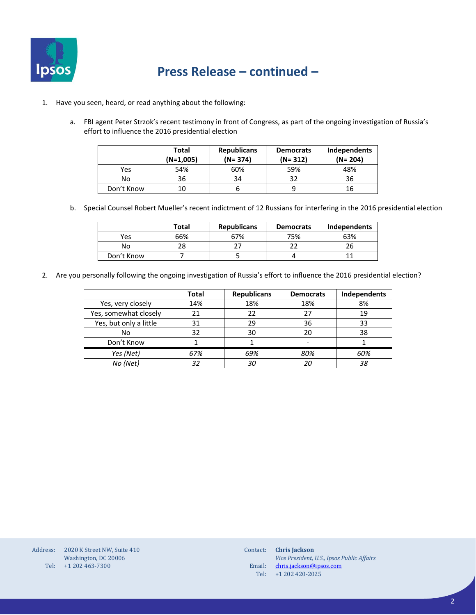

- 1. Have you seen, heard, or read anything about the following:
	- a. FBI agent Peter Strzok's recent testimony in front of Congress, as part of the ongoing investigation of Russia's effort to influence the 2016 presidential election

|            | Total<br>$(N=1,005)$ | <b>Republicans</b><br>$(N = 374)$ | <b>Democrats</b><br>$(N = 312)$ | Independents<br>$(N = 204)$ |
|------------|----------------------|-----------------------------------|---------------------------------|-----------------------------|
| Yes        | 54%                  | 60%                               | 59%                             | 48%                         |
| No         | 36                   | 34                                | 32                              | 36                          |
| Don't Know | 10                   |                                   |                                 | 16                          |

b. Special Counsel Robert Mueller's recent indictment of 12 Russians for interfering in the 2016 presidential election

|            | Total | <b>Republicans</b> | <b>Democrats</b> | Independents |
|------------|-------|--------------------|------------------|--------------|
| Yes        | 66%   | 67%                | 75%              | 63%          |
| No         |       |                    |                  |              |
| Don't Know |       |                    |                  |              |

2. Are you personally following the ongoing investigation of Russia's effort to influence the 2016 presidential election?

|                        | Total | <b>Republicans</b> | <b>Democrats</b> | Independents |
|------------------------|-------|--------------------|------------------|--------------|
| Yes, very closely      | 14%   | 18%                | 18%              | 8%           |
| Yes, somewhat closely  | 21    | 22                 | 27               | 19           |
| Yes, but only a little | 31    | 29                 | 36               | 33           |
| No                     | 32    | 30                 | 20               | 38           |
| Don't Know             |       |                    | -                |              |
| Yes (Net)              | 67%   | 69%                | 80%              | 60%          |
| No (Net)               | 32    | 30                 | 20               | 38           |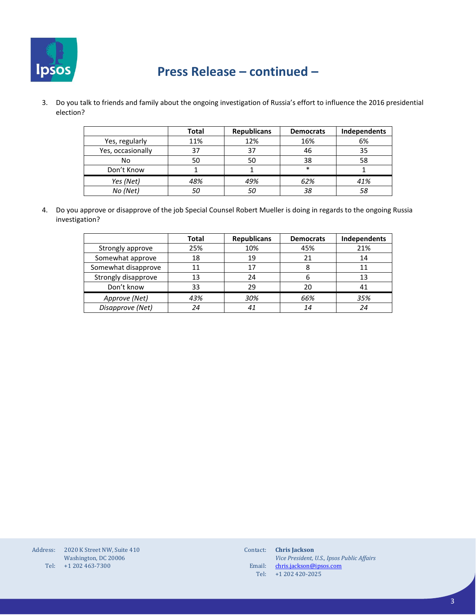

3. Do you talk to friends and family about the ongoing investigation of Russia's effort to influence the 2016 presidential election?

|                   | <b>Total</b> | <b>Republicans</b> | <b>Democrats</b> | Independents |
|-------------------|--------------|--------------------|------------------|--------------|
| Yes, regularly    | 11%          | 12%                | 16%              | 6%           |
| Yes, occasionally | 37           | 37                 | 46               | 35           |
| No                | 50           | 50                 | 38               | 58           |
| Don't Know        |              |                    | $\ast$           |              |
| Yes (Net)         | 48%          | 49%                | 62%              | 41%          |
| No (Net)          |              | 50                 | 38               | 58           |

4. Do you approve or disapprove of the job Special Counsel Robert Mueller is doing in regards to the ongoing Russia investigation?

|                     | Total | <b>Republicans</b> | <b>Democrats</b> | Independents |
|---------------------|-------|--------------------|------------------|--------------|
| Strongly approve    | 25%   | 10%                | 45%              | 21%          |
| Somewhat approve    | 18    | 19                 | 21               | 14           |
| Somewhat disapprove |       | 17                 | 8                | 11           |
| Strongly disapprove | 13    | 24                 | b                | 13           |
| Don't know          | 33    | 29                 | 20               |              |
| Approve (Net)       | 43%   | 30%                | 66%              | 35%          |
| Disapprove (Net)    | 24    | 41                 | 14               | 24           |

| Address: | 2020 K Street NW, Suite 410 |
|----------|-----------------------------|
|          | Washington, DC 20006        |
| Tel:     | +1 202 463-7300             |

| Contact: | <b>Chris</b> Jackson                       |
|----------|--------------------------------------------|
|          | Vice President, U.S., Ipsos Public Affairs |
| Email:   | chris.jackson@ipsos.com                    |
| Tel:     | $+1$ 202 420-2025                          |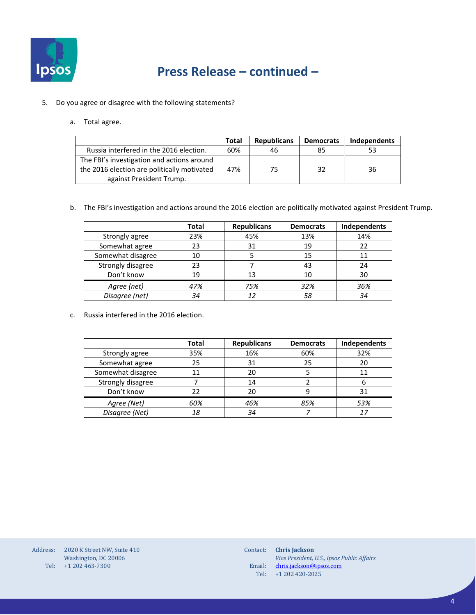

- 5. Do you agree or disagree with the following statements?
	- a. Total agree.

|                                             | Total | <b>Republicans</b> | <b>Democrats</b> | Independents |
|---------------------------------------------|-------|--------------------|------------------|--------------|
| Russia interfered in the 2016 election.     | 60%   | 46                 | 85               | 53           |
| The FBI's investigation and actions around  |       |                    |                  |              |
| the 2016 election are politically motivated | 47%   | 75                 | 32               | 36           |
| against President Trump.                    |       |                    |                  |              |

b. The FBI's investigation and actions around the 2016 election are politically motivated against President Trump.

|                   | Total | <b>Republicans</b> | <b>Democrats</b> | Independents |
|-------------------|-------|--------------------|------------------|--------------|
| Strongly agree    | 23%   | 45%                | 13%              | 14%          |
| Somewhat agree    | 23    | 31                 | 19               | 22           |
| Somewhat disagree | 10    |                    | 15               | 11           |
| Strongly disagree | 23    |                    | 43               | 24           |
| Don't know        | 19    | 13                 | 10               | 30           |
| Agree (net)       | 47%   | 75%                | 32%              | 36%          |
| Disagree (net)    | 34    |                    | 58               | 34           |

c. Russia interfered in the 2016 election.

|                   | Total | <b>Republicans</b> | <b>Democrats</b> | Independents |
|-------------------|-------|--------------------|------------------|--------------|
| Strongly agree    | 35%   | 16%                | 60%              | 32%          |
| Somewhat agree    | 25    | 31                 | 25               | 20           |
| Somewhat disagree |       | 20                 |                  | 11           |
| Strongly disagree |       | 14                 |                  | 6            |
| Don't know        |       | 20                 | 9                | 31           |
| Agree (Net)       | 60%   | 46%                | 85%              | 53%          |
| Disagree (Net)    | 18    | 34                 |                  | 17           |

Address: 2020 K Street NW, Suite 410 Tel: +1 202 463-7300 Washington, DC 20006

| Contact: | <b>Chris</b> Jackson                       |
|----------|--------------------------------------------|
|          | Vice President, U.S., Ipsos Public Affairs |
| Email:   | chris.jackson@ipsos.com                    |
| Tel:     | $+1$ 202 420-2025                          |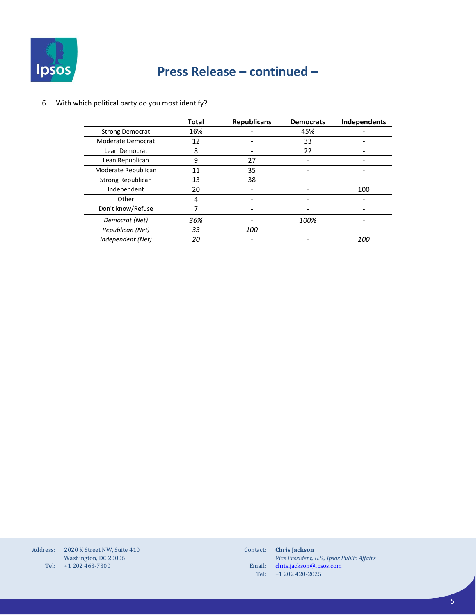

#### 6. With which political party do you most identify?

|                          | <b>Total</b> | <b>Republicans</b> | <b>Democrats</b> | Independents |
|--------------------------|--------------|--------------------|------------------|--------------|
| <b>Strong Democrat</b>   | 16%          |                    | 45%              |              |
| Moderate Democrat        | 12           |                    | 33               |              |
| Lean Democrat            | 8            |                    | 22               |              |
| Lean Republican          | 9            | 27                 |                  |              |
| Moderate Republican      | 11           | 35                 |                  |              |
| <b>Strong Republican</b> | 13           | 38                 |                  |              |
| Independent              | 20           |                    |                  | 100          |
| Other                    | 4            |                    |                  |              |
| Don't know/Refuse        |              |                    |                  |              |
| Democrat (Net)           | 36%          |                    | 100%             |              |
| Republican (Net)         | 33           | 100                |                  |              |
| Independent (Net)        | 20           |                    |                  | <i>100</i>   |

Address: 2020 K Street NW, Suite 410 Tel: +1 202 463-7300 Washington, DC 20006

Contact: **Chris Jackson** Email: Tel: *Vice President, U.S., Ipsos Public Affairs* [chris.jackson@ipsos.com](mailto:chris.jackson@ipsos.com) +1 202 420-2025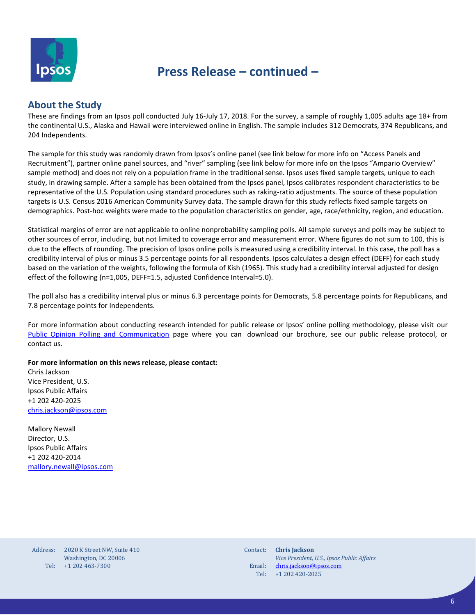

#### **About the Study**

These are findings from an Ipsos poll conducted July 16-July 17, 2018. For the survey, a sample of roughly 1,005 adults age 18+ from the continental U.S., Alaska and Hawaii were interviewed online in English. The sample includes 312 Democrats, 374 Republicans, and 204 Independents.

The sample for this study was randomly drawn from Ipsos's online panel (see link below for more info on "Access Panels and Recruitment"), partner online panel sources, and "river" sampling (see link below for more info on the Ipsos "Ampario Overview" sample method) and does not rely on a population frame in the traditional sense. Ipsos uses fixed sample targets, unique to each study, in drawing sample. After a sample has been obtained from the Ipsos panel, Ipsos calibrates respondent characteristics to be representative of the U.S. Population using standard procedures such as raking-ratio adjustments. The source of these population targets is U.S. Census 2016 American Community Survey data. The sample drawn for this study reflects fixed sample targets on demographics. Post-hoc weights were made to the population characteristics on gender, age, race/ethnicity, region, and education.

Statistical margins of error are not applicable to online nonprobability sampling polls. All sample surveys and polls may be subject to other sources of error, including, but not limited to coverage error and measurement error. Where figures do not sum to 100, this is due to the effects of rounding. The precision of Ipsos online polls is measured using a credibility interval. In this case, the poll has a credibility interval of plus or minus 3.5 percentage points for all respondents. Ipsos calculates a design effect (DEFF) for each study based on the variation of the weights, following the formula of Kish (1965). This study had a credibility interval adjusted for design effect of the following (n=1,005, DEFF=1.5, adjusted Confidence Interval=5.0).

The poll also has a credibility interval plus or minus 6.3 percentage points for Democrats, 5.8 percentage points for Republicans, and 7.8 percentage points for Independents.

For more information about conducting research intended for public release or Ipsos' online polling methodology, please visit our [Public Opinion Polling and Communication](https://www.ipsos.com/en-us/public-opinion-polling-and-communication-research) page where you can download our brochure, see our public release protocol, or contact us.

#### **For more information on this news release, please contact:**

Chris Jackson Vice President, U.S. Ipsos Public Affairs +1 202 420-2025 [chris.jackson@ipsos.com](mailto:chris.jackson@ipsos.com)

Mallory Newall Director, U.S. Ipsos Public Affairs +1 202 420-2014 [mallory.newall@ipsos.com](mailto:mallory.newall@ipsos.com) 

Address: Tel: +1 202 463-7300 2020 K Street NW, Suite 410 Washington, DC 20006

Contact: Email: Tel: **Chris Jackson** *Vice President, U.S., Ipsos Public Affairs* [chris.jackson@ipsos.com](mailto:chris.jackson@ipsos.com) +1 202 420-2025